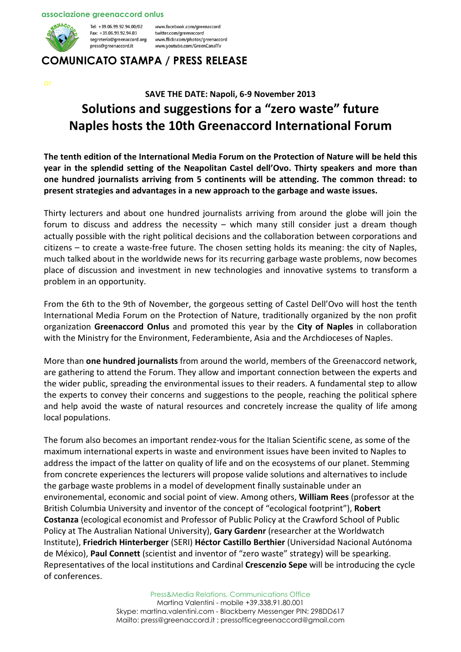#### associazione greenaccord onlus



Tel: +39.06.99.92.94.00/02 Fax: +39.06.99.92.94.03 segreteria@greenaccord.org press@greenaccord.it

www.facebook.com/greenaccord twitter.com/greenaccord www.flickr.com/photos/greenaccord www.youtube.com/GreenCanalTv

## COMUNICATO STAMPA / PRESS RELEASE

# SAVE THE DATE: Napoli, 6-9 November 2013 Solutions and suggestions for a "zero waste" future Naples hosts the 10th Greenaccord International Forum

The tenth edition of the International Media Forum on the Protection of Nature will be held this year in the splendid setting of the Neapolitan Castel dell'Ovo. Thirty speakers and more than one hundred journalists arriving from 5 continents will be attending. The common thread: to present strategies and advantages in a new approach to the garbage and waste issues.

Thirty lecturers and about one hundred journalists arriving from around the globe will join the forum to discuss and address the necessity – which many still consider just a dream though actually possible with the right political decisions and the collaboration between corporations and citizens – to create a waste-free future. The chosen setting holds its meaning: the city of Naples, much talked about in the worldwide news for its recurring garbage waste problems, now becomes place of discussion and investment in new technologies and innovative systems to transform a problem in an opportunity.

From the 6th to the 9th of November, the gorgeous setting of Castel Dell'Ovo will host the tenth International Media Forum on the Protection of Nature, traditionally organized by the non profit organization Greenaccord Onlus and promoted this year by the City of Naples in collaboration with the Ministry for the Environment, Federambiente, Asia and the Archdioceses of Naples.

More than one hundred journalists from around the world, members of the Greenaccord network, are gathering to attend the Forum. They allow and important connection between the experts and the wider public, spreading the environmental issues to their readers. A fundamental step to allow the experts to convey their concerns and suggestions to the people, reaching the political sphere and help avoid the waste of natural resources and concretely increase the quality of life among local populations.

The forum also becomes an important rendez-vous for the Italian Scientific scene, as some of the maximum international experts in waste and environment issues have been invited to Naples to address the impact of the latter on quality of life and on the ecosystems of our planet. Stemming from concrete experiences the lecturers will propose valide solutions and alternatives to include the garbage waste problems in a model of development finally sustainable under an environemental, economic and social point of view. Among others, William Rees (professor at the British Columbia University and inventor of the concept of "ecological footprint"), Robert Costanza (ecological economist and Professor of Public Policy at the Crawford School of Public Policy at The Australian National University), Gary Gardenr (researcher at the Worldwatch Institute), Friedrich Hinterberger (SERI) Héctor Castillo Berthier (Universidad Nacional Autónoma de México), Paul Connett (scientist and inventor of "zero waste" strategy) will be spearking. Representatives of the local institutions and Cardinal Crescenzio Sepe will be introducing the cycle of conferences.